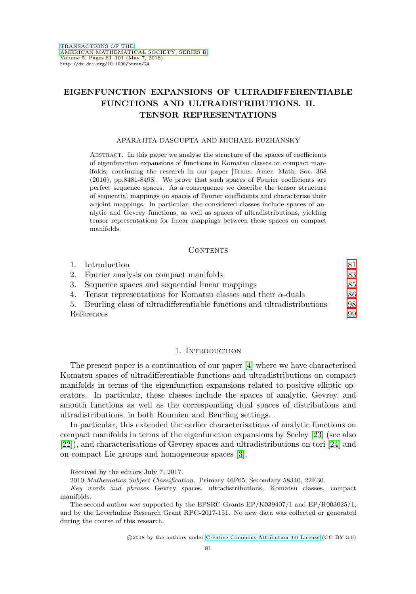# **EIGENFUNCTION EXPANSIONS OF ULTRADIFFERENTIABLE FUNCTIONS AND ULTRADISTRIBUTIONS. II. TENSOR REPRESENTATIONS**

#### APARAJITA DASGUPTA AND MICHAEL RUZHANSKY

Abstract. In this paper we analyse the structure of the spaces of coefficients of eigenfunction expansions of functions in Komatsu classes on compact manifolds, continuing the research in our paper [Trans. Amer. Math. Soc. 368 (2016), pp.8481-8498]. We prove that such spaces of Fourier coefficients are perfect sequence spaces. As a consequence we describe the tensor structure of sequential mappings on spaces of Fourier coefficients and characterise their adjoint mappings. In particular, the considered classes include spaces of analytic and Gevrey functions, as well as spaces of ultradistributions, yielding tensor representations for linear mappings between these spaces on compact manifolds.

## CONTENTS

|            | 1. Introduction                                                           |    |
|------------|---------------------------------------------------------------------------|----|
|            | 2. Fourier analysis on compact manifolds                                  | 83 |
|            | 3. Sequence spaces and sequential linear mappings                         | 85 |
|            | 4. Tensor representations for Komatsu classes and their $\alpha$ -duals   | 86 |
|            | 5. Beurling class of ultradifferentiable functions and ultradistributions | 98 |
| References |                                                                           | 99 |

## 1. INTRODUCTION

<span id="page-0-0"></span>The present paper is a continuation of our paper [\[4\]](#page-18-1) where we have characterised Komatsu spaces of ultradifferentiable functions and ultradistributions on compact manifolds in terms of the eigenfunction expansions related to positive elliptic operators. In particular, these classes include the spaces of analytic, Gevrey, and smooth functions as well as the corresponding dual spaces of distributions and ultradistributions, in both Roumieu and Beurling settings.

In particular, this extended the earlier characterisations of analytic functions on compact manifolds in terms of the eigenfunction expansions by Seeley [\[23\]](#page-19-0) (see also [\[22\]](#page-19-1)), and characterisations of Gevrey spaces and ultradistributions on tori [\[24\]](#page-19-2) and on compact Lie groups and homogeneous spaces [\[3\]](#page-18-2).

2010 Mathematics Subject Classification. Primary 46F05; Secondary 58J40, 22E30.

Received by the editors July 7, 2017.

Key words and phrases. Gevrey spaces, ultradistributions, Komatsu classes, compact manifolds.

The second author was supported by the EPSRC Grants EP/K039407/1 and EP/R003025/1, and by the Leverhulme Research Grant RPG-2017-151. No new data was collected or generated during the course of this research.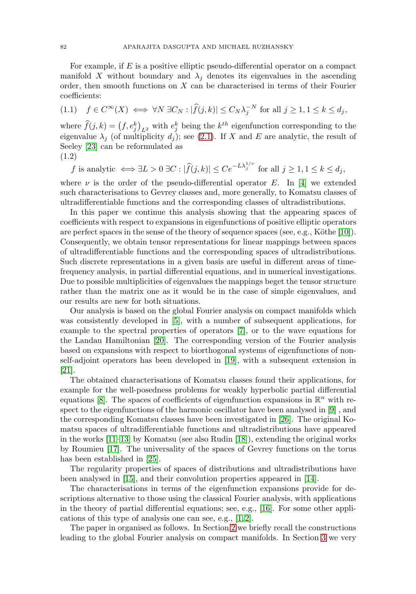For example, if  $E$  is a positive elliptic pseudo-differential operator on a compact manifold X without boundary and  $\lambda_i$  denotes its eigenvalues in the ascending order, then smooth functions on X can be characterised in terms of their Fourier coefficients:

$$
(1.1) \quad f \in C^{\infty}(X) \iff \forall N \exists C_N : |\widehat{f}(j,k)| \le C_N \lambda_j^{-N} \text{ for all } j \ge 1, 1 \le k \le d_j,
$$

where  $\hat{f}(j,k) = (f,e_j^k)_{L^2}$  with  $e_j^k$  being the  $k^{th}$  eigenfunction corresponding to the eigenvalue  $\lambda_j$  (of multiplicity  $d_j$ ); see [\(2.1\)](#page-3-0). If X and E are analytic, the result of Seeley [\[23\]](#page-19-0) can be reformulated as

(1.2)

f is analytic  $\iff \exists L > 0 \; \exists C : |\widehat{f}(j,k)| \leq C e^{-L\lambda_j^{1/\nu}}$  for all  $j \geq 1, 1 \leq k \leq d_j$ ,

where  $\nu$  is the order of the pseudo-differential operator E. In [\[4\]](#page-18-1) we extended such characterisations to Gevrey classes and, more generally, to Komatsu classes of ultradifferentiable functions and the corresponding classes of ultradistributions.

In this paper we continue this analysis showing that the appearing spaces of coefficients with respect to expansions in eigenfunctions of positive elliptic operators are perfect spaces in the sense of the theory of sequence spaces (see, e.g., Köthe  $[10]$ ). Consequently, we obtain tensor representations for linear mappings between spaces of ultradifferentiable functions and the corresponding spaces of ultradistributions. Such discrete representations in a given basis are useful in different areas of timefrequency analysis, in partial differential equations, and in numerical investigations. Due to possible multiplicities of eigenvalues the mappings beget the tensor structure rather than the matrix one as it would be in the case of simple eigenvalues, and our results are new for both situations.

Our analysis is based on the global Fourier analysis on compact manifolds which was consistently developed in [\[5\]](#page-18-3), with a number of subsequent applications, for example to the spectral properties of operators [\[7\]](#page-18-4), or to the wave equations for the Landau Hamiltonian [\[20\]](#page-19-4). The corresponding version of the Fourier analysis based on expansions with respect to biorthogonal systems of eigenfunctions of nonself-adjoint operators has been developed in [\[19\]](#page-19-5), with a subsequent extension in [\[21\]](#page-19-6).

The obtained characterisations of Komatsu classes found their applications, for example for the well-posedness problems for weakly hyperbolic partial differential equations [\[8\]](#page-19-7). The spaces of coefficients of eigenfunction expansions in  $\mathbb{R}^n$  with respect to the eigenfunctions of the harmonic oscillator have been analysed in [\[9\]](#page-19-8) , and the corresponding Komatsu classes have been investigated in [\[26\]](#page-19-9). The original Komatsu spaces of ultradifferentiable functions and ultradistributions have appeared in the works [\[11–](#page-19-10)[13\]](#page-19-11) by Komatsu (see also Rudin [\[18\]](#page-19-12)), extending the original works by Roumieu [\[17\]](#page-19-13). The universality of the spaces of Gevrey functions on the torus has been established in [\[25\]](#page-19-14).

The regularity properties of spaces of distributions and ultradistributions have been analysed in [\[15\]](#page-19-15), and their convolution properties appeared in [\[14\]](#page-19-16).

The characterisations in terms of the eigenfunction expansions provide for descriptions alternative to those using the classical Fourier analysis, with applications in the theory of partial differential equations; see, e.g., [\[16\]](#page-19-17). For some other applications of this type of analysis one can see, e.g., [\[1,](#page-18-5) [2\]](#page-18-6).

The paper in organised as follows. In Section [2](#page-2-0) we briefly recall the constructions leading to the global Fourier analysis on compact manifolds. In Section [3](#page-4-0) we very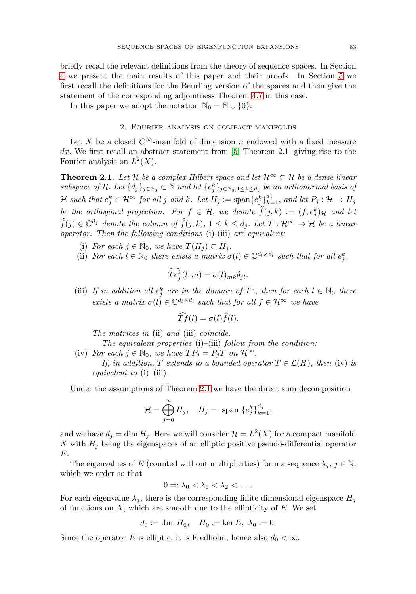briefly recall the relevant definitions from the theory of sequence spaces. In Section [4](#page-5-0) we present the main results of this paper and their proofs. In Section [5](#page-17-0) we first recall the definitions for the Beurling version of the spaces and then give the statement of the corresponding adjointness Theorem [4.7](#page-10-0) in this case.

<span id="page-2-0"></span>In this paper we adopt the notation  $\mathbb{N}_0 = \mathbb{N} \cup \{0\}.$ 

#### 2. Fourier analysis on compact manifolds

Let X be a closed  $C^{\infty}$ -manifold of dimension n endowed with a fixed measure  $dx$ . We first recall an abstract statement from [\[5,](#page-18-3) Theorem 2.1] giving rise to the Fourier analysis on  $L^2(X)$ .

<span id="page-2-1"></span>**Theorem 2.1.** Let H be a complex Hilbert space and let  $\mathcal{H}^{\infty} \subset \mathcal{H}$  be a dense linear subspace of H. Let  $\{d_j\}_{j\in\mathbb{N}_0}\subset\mathbb{N}$  and let  $\{e_j^k\}_{j\in\mathbb{N}_0,1\leq k\leq d_j}$  be an orthonormal basis of  $\mathcal H$  such that  $e_j^k \in \mathcal H^\infty$  for all j and k. Let  $H_j := \operatorname{span}\{e_j^k\}_{k=1}^{d_j}$ , and let  $P_j : \mathcal H \to H_j$ be the orthogonal projection. For  $f \in \mathcal{H}$ , we denote  $\widehat{f}(j,k) := (f, e_j^k)_{\mathcal{H}}$  and let  $\widehat{f}(j) \in \mathbb{C}^{d_j}$  denote the column of  $\widehat{f}(j,k), 1 \leq k \leq d_j$ . Let  $T : \mathcal{H}^{\infty} \to \mathcal{H}$  be a linear operator. Then the following conditions (i)-(iii) are equivalent:

- (i) For each  $j \in \mathbb{N}_0$ , we have  $T(H_j) \subset H_j$ .
- (ii) For each  $l \in \mathbb{N}_0$  there exists a matrix  $\sigma(l) \in \mathbb{C}^{d_l \times d_l}$  such that for all  $e_j^k$ ,

$$
Te_j^k(l,m) = \sigma(l)_{mk}\delta_{jl}.
$$

(iii) If in addition all  $e_j^k$  are in the domain of  $T^*$ , then for each  $l \in \mathbb{N}_0$  there exists a matrix  $\sigma(l) \in \mathbb{C}^{d_l \times d_l}$  such that for all  $f \in \mathcal{H}^{\infty}$  we have

$$
\widehat{Tf}(l) = \sigma(l)\widehat{f}(l).
$$

The matrices in (ii) and (iii) coincide.

The equivalent properties  $(i)$ – $(iii)$  follow from the condition:

(iv) For each  $j \in \mathbb{N}_0$ , we have  $TP_j = P_jT$  on  $\mathcal{H}^{\infty}$ . If, in addition, T extends to a bounded operator  $T \in \mathcal{L}(H)$ , then (iv) is equivalent to  $(i)$ – $(iii)$ .

Under the assumptions of Theorem [2.1](#page-2-1) we have the direct sum decomposition

$$
\mathcal{H} = \bigoplus_{j=0}^{\infty} H_j, \quad H_j = \text{ span } \{e_j^k\}_{k=1}^{d_j},
$$

and we have  $d_j = \dim H_j$ . Here we will consider  $\mathcal{H} = L^2(X)$  for a compact manifold X with  $H_j$  being the eigenspaces of an elliptic positive pseudo-differential operator E.

The eigenvalues of E (counted without multiplicities) form a sequence  $\lambda_j$ ,  $j \in \mathbb{N}$ , which we order so that

$$
0 =: \lambda_0 < \lambda_1 < \lambda_2 < \ldots
$$

For each eigenvalue  $\lambda_j$ , there is the corresponding finite dimensional eigenspace  $H_j$ of functions on  $X$ , which are smooth due to the ellipticity of  $E$ . We set

$$
d_0 := \dim H_0, \quad H_0 := \ker E, \ \lambda_0 := 0.
$$

Since the operator E is elliptic, it is Fredholm, hence also  $d_0 < \infty$ .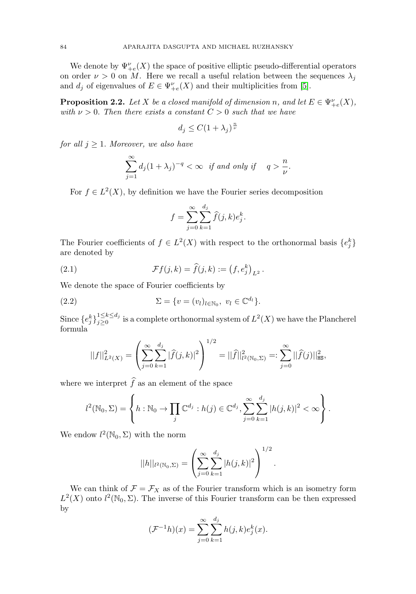We denote by  $\Psi_{+e}^{\nu}(X)$  the space of positive elliptic pseudo-differential operators on order  $\nu > 0$  on M. Here we recall a useful relation between the sequences  $\lambda_i$ and  $d_j$  of eigenvalues of  $E \in \Psi_{+e}^{\nu}(X)$  and their multiplicities from [\[5\]](#page-18-3).

<span id="page-3-2"></span>**Proposition 2.2.** Let X be a closed manifold of dimension n, and let  $E \in \Psi_{+e}^{\nu}(X)$ , with  $\nu > 0$ . Then there exists a constant  $C > 0$  such that we have

$$
d_j \le C(1+\lambda_j)^{\frac{n}{\nu}}
$$

for all  $j \geq 1$ . Moreover, we also have

$$
\sum_{j=1}^{\infty} d_j (1 + \lambda_j)^{-q} < \infty \quad \text{if and only if} \quad q > \frac{n}{\nu}.
$$

For  $f \in L^2(X)$ , by definition we have the Fourier series decomposition

$$
f = \sum_{j=0}^{\infty} \sum_{k=1}^{d_j} \widehat{f}(j,k) e_j^k.
$$

The Fourier coefficients of  $f \in L^2(X)$  with respect to the orthonormal basis  $\{e_j^k\}$ are denoted by

<span id="page-3-0"></span>(2.1) 
$$
\mathcal{F}f(j,k) = \hat{f}(j,k) := (f, e_j^k)_{L^2}.
$$

We denote the space of Fourier coefficients by

<span id="page-3-1"></span>(2.2) 
$$
\Sigma = \{v = (v_l)_{l \in \mathbb{N}_0}, v_l \in \mathbb{C}^{d_l}\}.
$$

Since  ${e_j^k}_{j=0}^{1 \le k \le d_j}$  is a complete orthonormal system of  $L^2(X)$  we have the Plancherel formula

$$
||f||_{L^{2}(X)}^{2} = \left(\sum_{j=0}^{\infty} \sum_{k=1}^{d_{j}} |\widehat{f}(j,k)|^{2}\right)^{1/2} = ||\widehat{f}||_{l^{2}(\mathbb{N}_{0},\Sigma)}^{2} =: \sum_{j=0}^{\infty} ||\widehat{f}(j)||_{\text{HS}}^{2},
$$

where we interpret  $f$  as an element of the space

$$
l^{2}(\mathbb{N}_{0}, \Sigma) = \left\{ h : \mathbb{N}_{0} \to \prod_{j} \mathbb{C}^{d_{j}} : h(j) \in \mathbb{C}^{d_{j}}, \sum_{j=0}^{\infty} \sum_{k=1}^{d_{j}} |h(j, k)|^{2} < \infty \right\}.
$$

We endow  $l^2(\mathbb{N}_0, \Sigma)$  with the norm

$$
||h||_{l^{2}(\mathbb{N}_{0},\Sigma)} = \left(\sum_{j=0}^{\infty} \sum_{k=1}^{d_{j}} |h(j,k)|^{2}\right)^{1/2}.
$$

We can think of  $\mathcal{F} = \mathcal{F}_X$  as of the Fourier transform which is an isometry form  $L^2(X)$  onto  $l^2(\mathbb{N}_0, \Sigma)$ . The inverse of this Fourier transform can be then expressed by

$$
(\mathcal{F}^{-1}h)(x) = \sum_{j=0}^{\infty} \sum_{k=1}^{d_j} h(j,k)e_j^k(x).
$$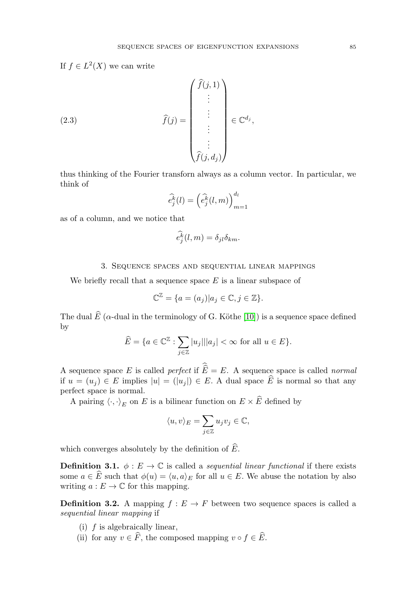If  $f \in L^2(X)$  we can write

(2.3) 
$$
\widehat{f}(j) = \begin{pmatrix} \widehat{f}(j,1) \\ \vdots \\ \vdots \\ \vdots \\ \widehat{f}(j,d_j) \end{pmatrix} \in \mathbb{C}^{d_j},
$$

thus thinking of the Fourier transforn always as a column vector. In particular, we think of

$$
\widehat{e_j^k}(l) = \left(\widehat{e_j^k}(l,m)\right)_{m=1}^{d_l}
$$

as of a column, and we notice that

$$
\widehat{e_j^k}(l,m) = \delta_{jl}\delta_{km}.
$$

### 3. Sequence spaces and sequential linear mappings

<span id="page-4-0"></span>We briefly recall that a sequence space  $E$  is a linear subspace of

$$
\mathbb{C}^{\mathbb{Z}} = \{a = (a_j)|a_j \in \mathbb{C}, j \in \mathbb{Z}\}.
$$

The dual  $E$  ( $\alpha$ -dual in the terminology of G. Köthe [\[10\]](#page-19-3)) is a sequence space defined by

$$
\widehat{E} = \{ a \in \mathbb{C}^{\mathbb{Z}} : \sum_{j \in \mathbb{Z}} |u_j| ||a_j| < \infty \text{ for all } u \in E \}.
$$

A sequence space E is called *perfect* if  $E = E$ . A sequence space is called *normal* if  $u = (u_j) \in E$  implies  $|u| = (|u_j|) \in E$ . A dual space E is normal so that any perfect space is normal.

A pairing  $\langle \cdot, \cdot \rangle_E$  on E is a bilinear function on  $E \times E$  defined by

$$
\langle u, v \rangle_E = \sum_{j \in \mathbb{Z}} u_j v_j \in \mathbb{C},
$$

which converges absolutely by the definition of  $E$ .

**Definition 3.1.**  $\phi: E \to \mathbb{C}$  is called a *sequential linear functional* if there exists some  $a \in E$  such that  $\phi(u) = \langle u, a \rangle_E$  for all  $u \in E$ . We abuse the notation by also writing  $a: E \to \mathbb{C}$  for this mapping.

**Definition 3.2.** A mapping  $f : E \to F$  between two sequence spaces is called a sequential linear mapping if

- (i)  $f$  is algebraically linear,
- (ii) for any  $v \in F$ , the composed mapping  $v \circ f \in E$ .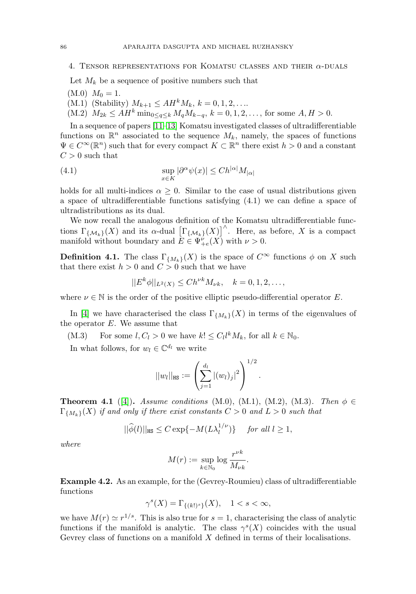# <span id="page-5-0"></span>4. TENSOR REPRESENTATIONS FOR KOMATSU CLASSES AND THEIR  $\alpha$ -DUALS

Let  $M_k$  be a sequence of positive numbers such that

- $(M.0)$   $M_0 = 1$ .
- (M.1) (Stability)  $M_{k+1} \leq AH^k M_k, k = 0, 1, 2, ...$
- $(M.2)$   $M_{2k} \leq AH^k \min_{0 \leq a \leq k} M_a M_{k-a}, k = 0, 1, 2, \ldots$ , for some  $A, H > 0$ .

In a sequence of papers [\[11](#page-19-10)[–13\]](#page-19-11) Komatsu investigated classes of ultradifferentiable functions on  $\mathbb{R}^n$  associated to the sequence  $M_k$ , namely, the spaces of functions  $\Psi \in C^{\infty}(\mathbb{R}^n)$  such that for every compact  $K \subset \mathbb{R}^n$  there exist  $h > 0$  and a constant  $C > 0$  such that

(4.1) 
$$
\sup_{x \in K} |\partial^{\alpha} \psi(x)| \leq C h^{|\alpha|} M_{|\alpha|}
$$

holds for all multi-indices  $\alpha \geq 0$ . Similar to the case of usual distributions given a space of ultradifferentiable functions satisfying (4.1) we can define a space of ultradistributions as its dual.

We now recall the analogous definition of the Komatsu ultradifferentiable functions  $\Gamma_{\{\mathcal{M}_k\}}(X)$  and its  $\alpha$ -dual  $\left[\Gamma_{\{\mathcal{M}_k\}}(X)\right]^{\wedge}$ . Here, as before, X is a compact manifold without boundary and  $E \in \Psi_{+e}^{\nu}(X)$  with  $\nu > 0$ .

**Definition 4.1.** The class  $\Gamma_{\{M_k\}}(X)$  is the space of  $C^{\infty}$  functions  $\phi$  on X such that there exist  $h > 0$  and  $C > 0$  such that we have

$$
||E^{k}\phi||_{L^{2}(X)} \leq Ch^{\nu k}M_{\nu k}, \quad k = 0, 1, 2, \ldots,
$$

where  $\nu \in \mathbb{N}$  is the order of the positive elliptic pseudo-differential operator E.

In [\[4\]](#page-18-1) we have characterised the class  $\Gamma_{\{M_k\}}(X)$  in terms of the eigenvalues of the operator  $E$ . We assume that

(M.3) For some  $l, C_l > 0$  we have  $k! \leq C_l l^k M_k$ , for all  $k \in \mathbb{N}_0$ .

In what follows, for  $w_l \in \mathbb{C}^{d_l}$  we write

$$
||w_l||_{\texttt{HS}} := \left(\sum_{j=1}^{d_l} |(w_l)_j|^2\right)^{1/2}.
$$

<span id="page-5-1"></span>**Theorem 4.1** ([\[4\]](#page-18-1)). Assume conditions (M.0), (M.1), (M.2), (M.3). Then  $\phi \in$  $\Gamma_{\{M_k\}}(X)$  if and only if there exist constants  $C > 0$  and  $L > 0$  such that

$$
||\widehat{\phi}(l)||_{\text{HS}} \le C \exp\{-M(L\lambda_l^{1/\nu})\} \quad \text{ for all } l \ge 1,
$$

where

$$
M(r):=\sup_{k\in\mathbb{N}_0}\log\frac{r^{\nu k}}{M_{\nu k}}.
$$

**Example 4.2.** As an example, for the (Gevrey-Roumieu) class of ultradifferentiable functions

$$
\gamma^s(X) = \Gamma_{\{(k!)^s\}}(X), \quad 1 < s < \infty,
$$

we have  $M(r) \simeq r^{1/s}$ . This is also true for  $s = 1$ , characterising the class of analytic functions if the manifold is analytic. The class  $\gamma^{s}(X)$  coincides with the usual Gevrey class of functions on a manifold  $X$  defined in terms of their localisations.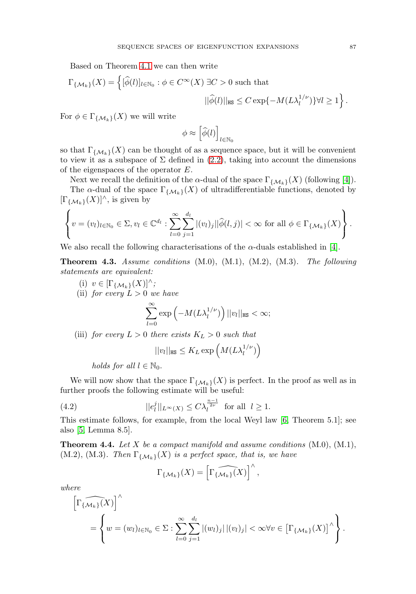Based on Theorem [4.1](#page-5-1) we can then write

$$
\Gamma_{\{\mathcal{M}_k\}}(X) = \left\{ [\widehat{\phi}(l)]_{l \in \mathbb{N}_0} : \phi \in C^{\infty}(X) \exists C > 0 \text{ such that } \right.
$$

$$
||\widehat{\phi}(l)||_{\text{HS}} \le C \exp\{-M(L\lambda_l^{1/\nu})\} \forall l \ge 1 \right\}.
$$

For  $\phi \in \Gamma_{\{\mathcal{M}_k\}}(X)$  we will write

$$
\phi \approx \left[\widehat{\phi}(l)\right]_{l \in \mathbb{N}_0}
$$

so that  $\Gamma_{\{\mathcal{M}_{k}\}}(X)$  can be thought of as a sequence space, but it will be convenient to view it as a subspace of  $\Sigma$  defined in [\(2.2\)](#page-3-1), taking into account the dimensions of the eigenspaces of the operator E.

Next we recall the definition of the α-dual of the space  $\Gamma_{\{\mathcal{M}_k\}}(X)$  (following [\[4\]](#page-18-1)).

The  $\alpha$ -dual of the space  $\Gamma_{\{\mathcal{M}_k\}}(X)$  of ultradifferentiable functions, denoted by  $[\Gamma_{\{\mathcal{M}_k\}}(X)]^{\wedge}$ , is given by

$$
\left\{v=(v_l)_{l\in\mathbb{N}_0}\in\Sigma,v_l\in\mathbb{C}^{d_l}:\sum_{l=0}^{\infty}\sum_{j=1}^{d_l}|(v_l)_j||\widehat{\phi}(l,j)|<\infty\text{ for all }\phi\in\Gamma_{\{\mathcal{M}_k\}}(X)\right\}.
$$

We also recall the following characterisations of the  $\alpha$ -duals established in [\[4\]](#page-18-1).

<span id="page-6-0"></span>**Theorem 4.3.** Assume conditions  $(M.0)$ ,  $(M.1)$ ,  $(M.2)$ ,  $(M.3)$ . The following statements are equivalent:

(i)  $v \in [\Gamma_{\{\mathcal{M}_k\}}(X)]^{\wedge};$ (ii) for every  $L > 0$  we have

$$
\sum_{l=0}^{\infty} \exp\left(-M(L\lambda_l^{1/\nu})\right) ||v_l||_{\text{HS}} < \infty;
$$

(iii) for every  $L > 0$  there exists  $K_L > 0$  such that

$$
||v_l||_{\text{HS}} \leq K_L \exp\left(M(L\lambda_l^{1/\nu})\right)
$$

holds for all  $l \in \mathbb{N}_0$ .

We will now show that the space  $\Gamma_{\{\mathcal{M}_{k}\}}(X)$  is perfect. In the proof as well as in further proofs the following estimate will be useful:

<span id="page-6-2"></span>(4.2) 
$$
||e_l^j||_{L^\infty(X)} \leq C\lambda_l^{\frac{n-1}{2\nu}} \text{ for all } l \geq 1.
$$

This estimate follows, for example, from the local Weyl law [\[6,](#page-18-7) Theorem 5.1]; see also [\[5,](#page-18-3) Lemma 8.5].

<span id="page-6-1"></span>**Theorem 4.4.** Let X be a compact manifold and assume conditions  $(M.0)$ ,  $(M.1)$ ,  $(M.2)$ ,  $(M.3)$ . Then  $\Gamma_{\{\mathcal{M}_k\}}(X)$  is a perfect space, that is, we have

$$
\Gamma_{\{\mathcal{M}_k\}}(X) = \left[\widehat{\Gamma_{\{\mathcal{M}_k\}}(X)}\right]^\wedge,
$$

where

$$
\left[\widehat{\Gamma_{\{\mathcal{M}_k\}}(X)}\right]^\wedge
$$
  
= 
$$
\left\{w = (w_l)_{l \in \mathbb{N}_0} \in \Sigma : \sum_{l=0}^\infty \sum_{j=1}^{d_l} |(w_l)_j| |(v_l)_j| < \infty \forall v \in \left[\Gamma_{\{\mathcal{M}_k\}}(X)\right]^\wedge\right\}.
$$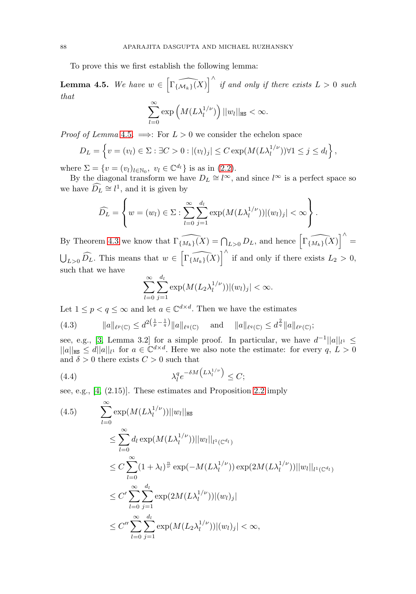To prove this we first establish the following lemma:

<span id="page-7-0"></span>**Lemma 4.5.** We have  $w \in \left[\widehat{\Gamma_{\{\mathcal{M}_k\}}(X)}\right]^{\wedge}$  if and only if there exists  $L > 0$  such that

$$
\sum_{l=0}^{\infty} \exp\left(M(L\lambda_l^{1/\nu})\right) ||w_l||_{\text{HS}} < \infty.
$$

*Proof of Lemma* [4.5](#page-7-0).  $\implies$ : For  $L > 0$  we consider the echelon space

$$
D_L = \left\{ v = (v_l) \in \Sigma : \exists C > 0 : |(v_l)_j| \le C \exp(M(L\lambda_l^{1/\nu})) \forall 1 \le j \le d_l \right\},\
$$

where  $\Sigma = \{v = (v_l)_{l \in \mathbb{N}_0}, v_l \in \mathbb{C}^{d_l}\}\$ is as in [\(2.2\)](#page-3-1).

By the diagonal transform we have  $D_L \cong l^{\infty}$ , and since l<sup>∞</sup> is a perfect space so we have  $\widehat{D}_L \cong l^1$ , and it is given by

$$
\widehat{D_L} = \left\{ w = (w_l) \in \Sigma : \sum_{l=0}^{\infty} \sum_{j=1}^{d_l} \exp(M(L\lambda_l^{1/\nu})) |(w_l)_j| < \infty \right\}.
$$

By Theorem [4.3](#page-6-0) we know that  $\widehat{\Gamma_{\{M_k\}}(X)} = \bigcap_{L>0} D_L$ , and hence  $\widehat{\left[\Gamma_{\{M_k\}}(X)\right]}^{\wedge}$  $\bigcup_{L>0} \widehat{D_L}$ . This means that  $w \in \left[\widehat{\Gamma_{\{M_k\}}(X)}\right]^{\wedge}$  if and only if there exists  $L_2 > 0$ , such that we have

$$
\sum_{l=0}^{\infty}\sum_{j=1}^{d_l}\exp(M(L_2\lambda_l^{1/\nu}))|(w_l)_j|<\infty.
$$

Let  $1 \leq p < q \leq \infty$  and let  $a \in \mathbb{C}^{d \times d}$ . Then we have the estimates

<span id="page-7-1"></span>(4.3) 
$$
\|a\|_{\ell^p(\mathbb{C})} \leq d^{2\left(\frac{1}{p}-\frac{1}{q}\right)} \|a\|_{\ell^q(\mathbb{C})} \quad \text{and} \quad \|a\|_{\ell^q(\mathbb{C})} \leq d^{\frac{2}{q}} \|a\|_{\ell^p(\mathbb{C})};
$$

see, e.g., [\[3,](#page-18-2) Lemma 3.2] for a simple proof. In particular, we have  $d^{-1}||a||_{l^1} \leq$  $||a||_{\text{HS}} \le d||a||_{l_1}$  for  $a \in \mathbb{C}^{d \times d}$ . Here we also note the estimate: for every  $q, L > 0$ and  $\delta>0$  there exists  $C>0$  such that

<span id="page-7-2"></span>(4.4) 
$$
\lambda_l^q e^{-\delta M \left( L \lambda_l^{1/\nu} \right)} \leq C;
$$

see, e.g., [\[4,](#page-18-1) (2.15)]. These estimates and Proposition [2.2](#page-3-2) imply

$$
(4.5) \qquad \sum_{l=0}^{\infty} \exp(M(L\lambda_l^{1/\nu}))||w_l||_{\text{HS}}
$$
  
\n
$$
\leq \sum_{l=0}^{\infty} d_l \exp(M(L\lambda_l^{1/\nu}))||w_l||_{l^1(\mathbb{C}^{d_l})}
$$
  
\n
$$
\leq C \sum_{l=0}^{\infty} (1 + \lambda_l)^{\frac{n}{\nu}} \exp(-M(L\lambda_l^{1/\nu})) \exp(2M(L\lambda_l^{1/\nu}))||w_l||_{l^1(\mathbb{C}^{d_l})}
$$
  
\n
$$
\leq C' \sum_{l=0}^{\infty} \sum_{j=1}^{d_l} \exp(2M(L\lambda_l^{1/\nu}))|(w_l)_j|
$$
  
\n
$$
\leq C'' \sum_{l=0}^{\infty} \sum_{j=1}^{d_l} \exp(M(L_2\lambda_l^{1/\nu}))|(w_l)_j| < \infty,
$$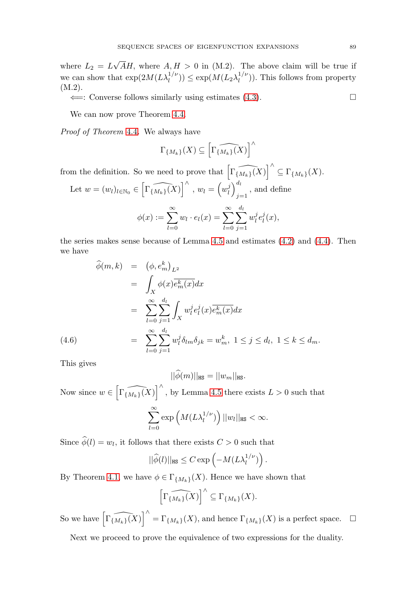where  $L_2 = L$ √ AH, where  $A, H > 0$  in (M.2). The above claim will be true if we can show that  $\exp(2M(L\lambda_l^{1/\nu})) \leq \exp(M(L_2\lambda_l^{1/\nu}))$ . This follows from property (M.2).

 $\Leftarrow$ : Converse follows similarly using estimates [\(4.3\)](#page-7-1).

We can now prove Theorem [4.4.](#page-6-1)

Proof of Theorem [4.4](#page-6-1). We always have

$$
\Gamma_{\{M_k\}}(X) \subseteq \left[\widehat{\Gamma_{\{M_k\}}(X)}\right]^\wedge
$$

from the definition. So we need to prove that  $\left[\widehat{\Gamma_{\{M_k\}}(X)}\right]^{\wedge} \subseteq \Gamma_{\{M_k\}}(X)$ .

Let 
$$
w = (w_l)_{l \in \mathbb{N}_0} \in \left[\widehat{\Gamma\{M_k\}}(X)\right]^\wedge
$$
,  $w_l = \left(w_l^j\right)_{j=1}^{d_l}$ , and define  

$$
\phi(x) := \sum_{l=0}^\infty w_l \cdot e_l(x) = \sum_{l=0}^\infty \sum_{j=1}^{d_l} w_l^j e_l^j(x),
$$

the series makes sense because of Lemma [4.5](#page-7-0) and estimates [\(4.2\)](#page-6-2) and [\(4.4\)](#page-7-2). Then we have

$$
\widehat{\phi}(m,k) = (\phi, e_m^k)_{L^2}
$$
\n
$$
= \int_X \phi(x) \overline{e_m^k(x)} dx
$$
\n
$$
= \sum_{l=0}^\infty \sum_{j=1}^{d_l} \int_X w_l^j e_l^j(x) \overline{e_m^k(x)} dx
$$
\n
$$
= \sum_{l=0}^\infty \sum_{j=1}^{d_l} w_l^j \delta_{lm} \delta_{jk} = w_m^k, \ 1 \le j \le d_l, \ 1 \le k \le d_m.
$$
\n(4.6)

This gives

 $||\phi(m)||_{\texttt{HS}} = ||w_m||_{\texttt{HS}}.$ Now since  $w \in \left[\widehat{\Gamma_{\{M_k\}}(X)}\right]^{\wedge}$ , by Lemma [4.5](#page-7-0) there exists  $L > 0$  such that  $\sum^{\infty}$  $_{l=0}$  $\exp\left(M(L\lambda_l^{1/\nu})\right)||w_l||_{\mathtt{HS}} < \infty.$ 

Since  $\phi(l) = w_l$ , it follows that there exists  $C > 0$  such that

$$
||\widehat{\phi}(l)||_{\text{HS}} \leq C \exp\left(-M(L\lambda_l^{1/\nu})\right).
$$

By Theorem [4.1,](#page-5-1) we have  $\phi \in \Gamma_{\{M_k\}}(X)$ . Hence we have shown that

$$
\left[\widehat{\Gamma_{\{M_k\}}(X)}\right]^{\wedge} \subseteq \Gamma_{\{M_k\}}(X).
$$

So we have  $\left[\widehat{\Gamma_{\{M_k\}}(X)}\right]^{\wedge} = \Gamma_{\{M_k\}}(X)$ , and hence  $\Gamma_{\{M_k\}}(X)$  is a perfect space.  $\Box$ 

Next we proceed to prove the equivalence of two expressions for the duality.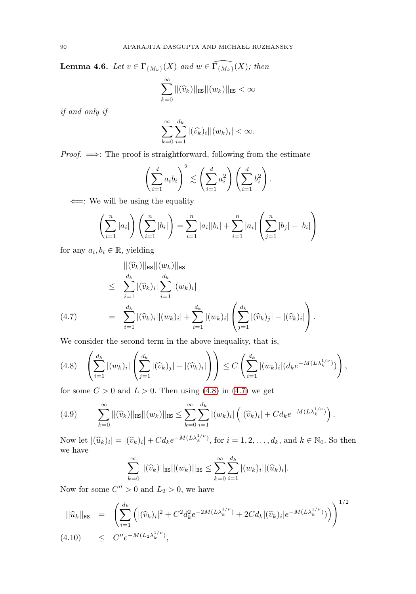**Lemma 4.6.** Let  $v \in \Gamma_{\{M_k\}}(X)$  and  $w \in \widehat{\Gamma_{\{M_k\}}}(X)$ ; then  $\sum^{\infty}$  $\sum_{k=0} ||(\widehat{v}_{k})||_{\text{HS}}||(w_{k})||_{\text{HS}} < \infty$ 

if and only if

$$
\sum_{k=0}^{\infty}\sum_{i=1}^{d_k}|(\widehat{v_k})_i||(w_k)_i| < \infty.
$$

*Proof.*  $\implies$ : The proof is straightforward, following from the estimate

$$
\left(\sum_{i=1}^d a_i b_i\right)^2 \lesssim \left(\sum_{i=1}^d a_i^2\right) \left(\sum_{i=1}^d b_i^2\right).
$$

 $\Leftarrow$ : We will be using the equality

$$
\left(\sum_{i=1}^n |a_i|\right)\left(\sum_{i=1}^n |b_i|\right) = \sum_{i=1}^n |a_i||b_i| + \sum_{i=1}^n |a_i|\left(\sum_{j=1}^n |b_j| - |b_i|\right)
$$

for any  $a_i, b_i \in \mathbb{R}$ , yielding

<span id="page-9-1"></span>
$$
||(\widehat{v}_{k})||_{\text{HS}}||(w_{k})||_{\text{HS}}\leq \sum_{i=1}^{d_{k}} |(\widehat{v}_{k})_{i}| \sum_{i=1}^{d_{k}} |(w_{k})_{i}|= \sum_{i=1}^{d_{k}} |(\widehat{v}_{k})_{i}||(w_{k})_{i}| + \sum_{i=1}^{d_{k}} |(w_{k})_{i}| \left(\sum_{j=1}^{d_{k}} |(\widehat{v}_{k})_{j}| - |(\widehat{v}_{k})_{i}|\right).
$$

We consider the second term in the above inequality, that is,

<span id="page-9-0"></span>
$$
(4.8) \quad \left(\sum_{i=1}^{d_k} |(w_k)_i| \left(\sum_{j=1}^{d_k} |(\widehat{v}_k)_j| - |(\widehat{v}_k)_i|\right)\right) \le C \left(\sum_{i=1}^{d_k} |(w_k)_i| (d_k e^{-M(L\lambda_k^{1/\nu})})\right),
$$

for some  $C > 0$  and  $L > 0$ . Then using [\(4.8\)](#page-9-0) in [\(4.7\)](#page-9-1) we get

<span id="page-9-2"></span>(4.9) 
$$
\sum_{k=0}^{\infty} ||(\widehat{v}_k)||_{\text{HS}} ||(w_k)||_{\text{HS}} \leq \sum_{k=0}^{\infty} \sum_{i=1}^{d_k} |(w_k)_i| \left( |(\widehat{v}_k)_i| + C d_k e^{-M(L\lambda_k^{1/\nu})} \right).
$$

Now let  $|(\widehat{u}_k)_i| = |(\widehat{v}_k)_i| + Cd_k e^{-M(L\lambda_k^{1/\nu})}$ , for  $i = 1, 2, ..., d_k$ , and  $k \in \mathbb{N}_0$ . So then we have

$$
\sum_{k=0}^{\infty} ||(\widehat{v}_k)||_{\text{HS}} ||(w_k)||_{\text{HS}} \leq \sum_{k=0}^{\infty} \sum_{i=1}^{d_k} |(w_k)_i||(\widehat{u}_k)_i|.
$$

Now for some  $C'' > 0$  and  $L_2 > 0$ , we have

$$
\|\hat{u}_k\|_{\text{HS}} = \left( \sum_{i=1}^{d_k} \left( |(\hat{v}_k)_i|^2 + C^2 d_k^2 e^{-2M(L\lambda_k^{1/\nu})} + 2C d_k |(\hat{v}_k)_i| e^{-M(L\lambda_k^{1/\nu})} \right) \right)^{1/2}
$$
  
(4.10) 
$$
\leq C'' e^{-M(L_2\lambda_k^{1/\nu})},
$$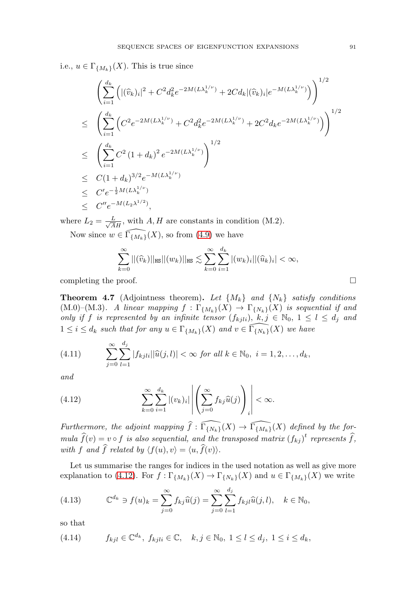i.e.,  $u \in \Gamma_{\{M_k\}}(X)$ . This is true since

$$
\begin{split}\n&\left(\sum_{i=1}^{d_k} \left(|(\widehat{v}_k)_i|^2 + C^2 d_k^2 e^{-2M(L\lambda_k^{1/\nu})} + 2C d_k |(\widehat{v}_k)_i|e^{-M(L\lambda_k^{1/\nu})}\right)\right)^{1/2} \\
&\leq \left(\sum_{i=1}^{d_k} \left(C^2 e^{-2M(L\lambda_k^{1/\nu})} + C^2 d_k^2 e^{-2M(L\lambda_k^{1/\nu})} + 2C^2 d_k e^{-2M(L\lambda_k^{1/\nu})}\right)\right)^{1/2} \\
&\leq \left(\sum_{i=1}^{d_k} C^2 (1+d_k)^2 e^{-2M(L\lambda_k^{1/\nu})}\right)^{1/2} \\
&\leq C(1+d_k)^{3/2} e^{-M(L\lambda_k^{1/\nu})} \\
&\leq C' e^{-\frac{1}{2}M(L\lambda_k^{1/\nu})} \\
&\leq C'' e^{-M(L_2\lambda^{1/2})},\n\end{split}
$$

where  $L_2 = \frac{L}{\sqrt{AH}}$ , with A, H are constants in condition (M.2).

Now since  $w \in \widehat{\Gamma_{\{M_k\}}(X)}$ , so from [\(4.9\)](#page-9-2) we have

$$
\sum_{k=0}^{\infty} ||(\widehat{v}_k)||_{\text{HS}}||(w_k)||_{\text{HS}} \lesssim \sum_{k=0}^{\infty} \sum_{i=1}^{d_k} |(w_k)_i||(\widehat{u}_k)_i| < \infty,
$$

completing the proof.  $\Box$ 

<span id="page-10-0"></span>**Theorem 4.7** (Adjointness theorem). Let  $\{M_k\}$  and  $\{N_k\}$  satisfy conditions (M.0)–(M.3). A linear mapping  $f : \Gamma_{\{M_k\}}(X) \to \Gamma_{\{N_k\}}(X)$  is sequential if and only if f is represented by an infinite tensor  $(f_{kjli})$ ,  $k, j \in \mathbb{N}_0, 1 \leq l \leq d_j$  and  $1 \leq i \leq d_k$  such that for any  $u \in \Gamma_{\{M_k\}}(X)$  and  $v \in \widehat{\Gamma_{\{N_k\}}}(X)$  we have

<span id="page-10-3"></span>(4.11) 
$$
\sum_{j=0}^{\infty} \sum_{l=1}^{d_j} |f_{kjli}| |\widehat{u}(j,l)| < \infty \text{ for all } k \in \mathbb{N}_0, \ i = 1, 2, \dots, d_k,
$$

and

<span id="page-10-1"></span>(4.12) 
$$
\sum_{k=0}^{\infty} \sum_{i=1}^{d_k} |(v_k)_i| \left| \left( \sum_{j=0}^{\infty} f_{kj} \widehat{u}(j) \right)_i \right| < \infty.
$$

Furthermore, the adjoint mapping  $\widehat{f}: \widehat{\Gamma_{\{N_k\}}}(X) \to \widehat{\Gamma_{\{M_k\}}}(X)$  defined by the for- $^{\prime}$ mula  $\widehat{f}(v) = v \circ f$  is also sequential, and the transposed matrix  $(f_{kj})^t$  represents  $\widehat{f}$ , with f and f related by  $\langle f(u), v \rangle = \langle u, f(v) \rangle$ .

Let us summarise the ranges for indices in the used notation as well as give more explanation to [\(4.12\)](#page-10-1). For  $f: \Gamma_{\{M_k\}}(X) \to \Gamma_{\{N_k\}}(X)$  and  $u \in \Gamma_{\{M_k\}}(X)$  we write

<span id="page-10-2"></span>(4.13) 
$$
\mathbb{C}^{d_k} \ni f(u)_k = \sum_{j=0}^{\infty} f_{kj} \widehat{u}(j) = \sum_{j=0}^{\infty} \sum_{l=1}^{d_j} f_{kjl} \widehat{u}(j,l), \quad k \in \mathbb{N}_0,
$$

so that

$$
(4.14) \t f_{kjl} \in \mathbb{C}^{d_k}, \ f_{kjli} \in \mathbb{C}, \quad k, j \in \mathbb{N}_0, \ 1 \le l \le d_j, \ 1 \le i \le d_k,
$$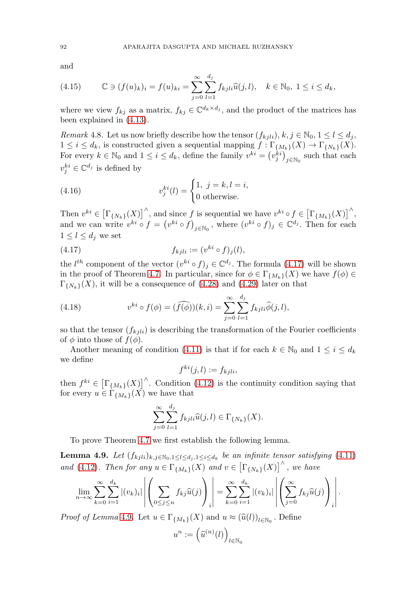and

(4.15) 
$$
\mathbb{C} \ni (f(u)_k)_i = f(u)_{ki} = \sum_{j=0}^{\infty} \sum_{l=1}^{d_j} f_{kjli} \widehat{u}(j,l), \quad k \in \mathbb{N}_0, \ 1 \le i \le d_k,
$$

where we view  $f_{kj}$  as a matrix,  $f_{kj} \in \mathbb{C}^{d_k \times d_j}$ , and the product of the matrices has been explained in [\(4.13\)](#page-10-2).

Remark 4.8. Let us now briefly describe how the tensor  $(f_{kji})$ ,  $k, j \in \mathbb{N}_0, 1 \leq l \leq d_j$ ,  $1 \leq i \leq d_k$ , is constructed given a sequential mapping  $f : \Gamma_{\{M_k\}}(X) \to \Gamma_{\{N_k\}}(X)$ . For every  $k \in \mathbb{N}_0$  and  $1 \leq i \leq d_k$ , define the family  $v^{ki} = (v_j^{ki})_{j \in \mathbb{N}_0}$  such that each  $v_j^{ki} \in \mathbb{C}^{d_j}$  is defined by

(4.16) 
$$
v_j^{ki}(l) = \begin{cases} 1, & j = k, l = i, \\ 0 \text{ otherwise.} \end{cases}
$$

Then  $v^{ki} \in \left[\Gamma_{\{N_k\}}(X)\right]^{\wedge}$ , and since f is sequential we have  $v^{ki} \circ f \in \left[\Gamma_{\{M_k\}}(X)\right]^{\wedge}$ , and we can write  $v^{ki} \circ f = (v^{ki} \circ f)_{j \in \mathbb{N}_0}$ , where  $(v^{ki} \circ f)_j \in \mathbb{C}^{d_j}$ . Then for each  $1 \leq l \leq d_j$  we set

<span id="page-11-0"></span>(4.17) 
$$
f_{kjli} := (v^{ki} \circ f)_j(l),
$$

the  $l^{th}$  component of the vector  $(v^{ki} \circ f)_j \in \mathbb{C}^{d_j}$ . The formula [\(4.17\)](#page-11-0) will be shown in the proof of Theorem [4.7.](#page-10-0) In particular, since for  $\phi \in \Gamma_{\{M_k\}}(X)$  we have  $f(\phi) \in$  $\Gamma_{\{N_k\}}(X)$ , it will be a consequence of [\(4.28\)](#page-16-0) and [\(4.29\)](#page-17-1) later on that

(4.18) 
$$
v^{ki} \circ f(\phi) = (\widehat{f(\phi)})(k, i) = \sum_{j=0}^{\infty} \sum_{l=1}^{d_j} f_{kjli} \widehat{\phi}(j, l),
$$

so that the tensor  $(f_{kil})$  is describing the transformation of the Fourier coefficients of  $\phi$  into those of  $f(\phi)$ .

Another meaning of condition [\(4.11\)](#page-10-3) is that if for each  $k \in \mathbb{N}_0$  and  $1 \leq i \leq d_k$ we define

$$
f^{ki}(j,l) := f_{kjli},
$$

then  $f^{ki} \in \left[\Gamma_{\{M_k\}}(X)\right]^{\wedge}$ . Condition [\(4.12\)](#page-10-1) is the continuity condition saying that for every  $u \in \Gamma_{\{M_k\}}(X)$  we have that

$$
\sum_{j=0}^{\infty} \sum_{l=1}^{d_j} f_{kjli} \widehat{u}(j,l) \in \Gamma_{\{N_k\}}(X).
$$

To prove Theorem [4.7](#page-10-0) we first establish the following lemma.

<span id="page-11-1"></span>**Lemma 4.9.** Let  $(f_{kjli})_{k,j \in \mathbb{N}_0, 1 \leq l \leq d_j, 1 \leq i \leq d_k}$  be an infinite tensor satisfying [\(4.11\)](#page-10-3) and [\(4.12\)](#page-10-1). Then for any  $u \in \Gamma_{\{M_k\}}(X)$  and  $v \in \left[\Gamma_{\{N_k\}}(X)\right]^{\wedge}$ , we have

$$
\lim_{n \to \infty} \sum_{k=0}^{\infty} \sum_{i=1}^{d_k} |(v_k)_i| \left| \left( \sum_{0 \le j \le n} f_{kj} \widehat{u}(j) \right)_i \right| = \sum_{k=0}^{\infty} \sum_{i=1}^{d_k} |(v_k)_i| \left| \left( \sum_{j=0}^{\infty} f_{kj} \widehat{u}(j) \right)_i \right|.
$$

*Proof of Lemma* [4.9](#page-11-1). Let  $u \in \Gamma_{\{M_k\}}(X)$  and  $u \approx (\hat{u}(l))_{l \in \mathbb{N}_0}$ . Define

$$
u^n:=\Big(\widehat{u}^{(n)}(l)\Big)_{l\in\mathbb{N}_0}
$$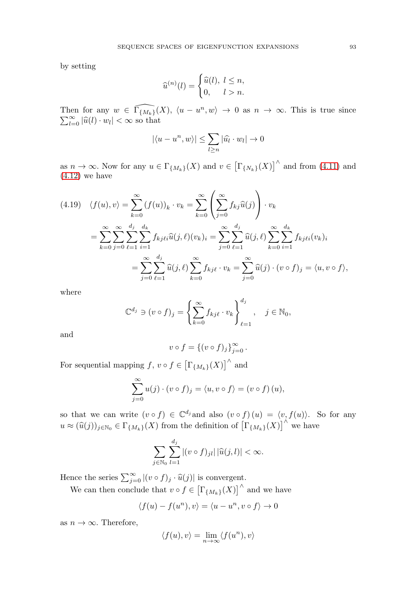by setting

$$
\widehat{u}^{(n)}(l) = \begin{cases} \widehat{u}(l), & l \leq n, \\ 0, & l > n. \end{cases}
$$

Then for any  $w \in \widehat{\Gamma_{\{M_k\}}}(X)$ ,  $\langle u - u^n \rangle$ Then for any  $w \in \Gamma_{\{M_k\}}(X)$ ,  $\langle u - u^n, w \rangle \to 0$  as  $n \to \infty$ . This is true since  $\sum_{l=0}^{\infty} |\widehat{u}(l) \cdot w_l| < \infty$  so that  $\sum_{l=0}^{\infty} |\widehat{u}(l) \cdot w_l| < \infty$  so that

$$
|\langle u - u^n, w \rangle| \leq \sum_{l \geq n} |\widehat{u_l} \cdot w_l| \to 0
$$

as  $n \to \infty$ . Now for any  $u \in \Gamma_{\{M_k\}}(X)$  and  $v \in \left[\Gamma_{\{N_k\}}(X)\right]^{\wedge}$  and from [\(4.11\)](#page-10-3) and  $(4.12)$  we have

$$
(4.19) \quad \langle f(u), v \rangle = \sum_{k=0}^{\infty} (f(u))_k \cdot v_k = \sum_{k=0}^{\infty} \left( \sum_{j=0}^{\infty} f_{kj} \widehat{u}(j) \right) \cdot v_k
$$

$$
= \sum_{k=0}^{\infty} \sum_{j=0}^{\infty} \sum_{\ell=1}^{d_j} \sum_{i=1}^{d_k} f_{kj\ell i} \widehat{u}(j,\ell) (v_k)_i = \sum_{j=0}^{\infty} \sum_{\ell=1}^{d_j} \widehat{u}(j,\ell) \sum_{k=0}^{\infty} \sum_{i=1}^{d_k} f_{kj\ell i} (v_k)_i
$$

$$
= \sum_{j=0}^{\infty} \sum_{\ell=1}^{d_j} \widehat{u}(j,\ell) \sum_{k=0}^{\infty} f_{kj\ell} \cdot v_k = \sum_{j=0}^{\infty} \widehat{u}(j) \cdot (v \circ f)_j = \langle u, v \circ f \rangle,
$$

where

$$
\mathbb{C}^{d_j} \ni (v \circ f)_j = \left\{ \sum_{k=0}^{\infty} f_{kj\ell} \cdot v_k \right\}_{\ell=1}^{d_j}, \quad j \in \mathbb{N}_0,
$$

and

$$
v \circ f = \{(v \circ f)_j\}_{j=0}^{\infty}.
$$

For sequential mapping  $f, v \circ f \in \left[\Gamma_{\{M_k\}}(X)\right]^{\wedge}$  and

$$
\sum_{j=0}^{\infty} u(j) \cdot (v \circ f)_j = \langle u, v \circ f \rangle = (v \circ f)(u),
$$

so that we can write  $(v \circ f) \in \mathbb{C}^{d_j}$  and also  $(v \circ f)(u) = \langle v, f(u) \rangle$ . So for any  $u \approx (\widehat{u}(j))_{j \in \mathbb{N}_0} \in \Gamma_{\{M_k\}}(X)$  from the definition of  $\left[\Gamma_{\{M_k\}}(X)\right]^{\wedge}$  we have

$$
\sum_{j\in\mathbb{N}_0}\sum_{l=1}^{d_j}|(v\circ f)_{jl}|\,|\widehat{u}(j,l)|<\infty.
$$

Hence the series  $\sum_{j=0}^{\infty} |(v \circ f)_j \cdot \hat{u}(j)|$  is convergent.

We can then conclude that  $v \circ f \in \left[\Gamma_{\{M_k\}}(X)\right]^{\wedge}$  and we have

$$
\langle f(u)-f(u^n), v\rangle = \langle u-u^n, v\circ f\rangle \to 0
$$

as  $n \to \infty$ . Therefore,

$$
\langle f(u), v \rangle = \lim_{n \to \infty} \langle f(u^n), v \rangle
$$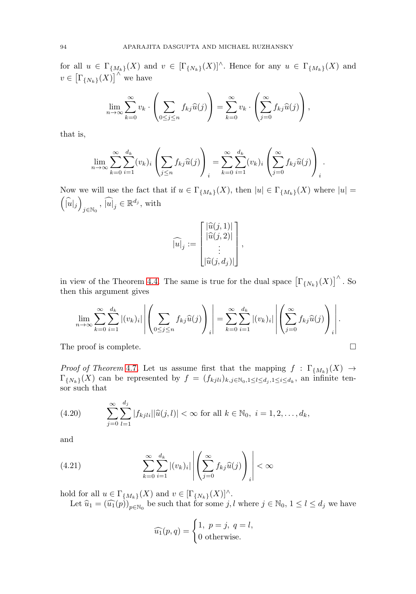for all  $u \in \Gamma_{\{M_k\}}(X)$  and  $v \in [\Gamma_{\{N_k\}}(X)]^{\wedge}$ . Hence for any  $u \in \Gamma_{\{M_k\}}(X)$  and  $v \in \left[\Gamma_{\{N_k\}}(X)\right]^{\wedge}$  we have

$$
\lim_{n \to \infty} \sum_{k=0}^{\infty} v_k \cdot \left( \sum_{0 \le j \le n} f_{kj} \widehat{u}(j) \right) = \sum_{k=0}^{\infty} v_k \cdot \left( \sum_{j=0}^{\infty} f_{kj} \widehat{u}(j) \right),
$$

that is,

$$
\lim_{n \to \infty} \sum_{k=0}^{\infty} \sum_{i=1}^{d_k} (v_k)_i \left( \sum_{j \le n} f_{kj} \widehat{u}(j) \right)_i = \sum_{k=0}^{\infty} \sum_{i=1}^{d_k} (v_k)_i \left( \sum_{j=0}^{\infty} f_{kj} \widehat{u}(j) \right)_i.
$$

Now we will use the fact that if  $u \in \Gamma_{\{M_k\}}(X)$ , then  $|u| \in \Gamma_{\{M_k\}}(X)$  where  $|u| =$  $\left(\widehat{\left|u\right|}{}_j\right)$  $_{j\in\mathbb{N}_{0}}$ ,  $\widehat{\left[u\right]}_{j}\in\mathbb{R}^{d_{j}},$  with

$$
\widehat{|u|}_j := \begin{bmatrix} |\widehat{u}(j,1)| \\ |\widehat{u}(j,2)| \\ \vdots \\ |\widehat{u}(j,d_j)| \end{bmatrix},
$$

in view of the Theorem [4.4.](#page-6-1) The same is true for the dual space  $\left[\Gamma_{\{N_k\}}(X)\right]^{\wedge}$ . So then this argument gives

$$
\lim_{n\to\infty}\sum_{k=0}^{\infty}\sum_{i=1}^{d_k}|(v_k)_i|\left|\left(\sum_{0\leq j\leq n}f_{kj}\widehat{u}(j)\right)_i\right|=\sum_{k=0}^{\infty}\sum_{i=1}^{d_k}|(v_k)_i|\left|\left(\sum_{j=0}^{\infty}f_{kj}\widehat{u}(j)\right)_i\right|.
$$

 $\Box$ 

The proof is complete.

*Proof of Theorem [4.7](#page-10-0).* Let us assume first that the mapping  $f : \Gamma_{\{M_k\}}(X) \to$  $\Gamma_{\{N_k\}}(X)$  can be represented by  $f = (f_{kjli})_{k,j \in \mathbb{N}_0, 1 \leq l \leq d_j, 1 \leq i \leq d_k}$ , an infinite tensor such that

(4.20) 
$$
\sum_{j=0}^{\infty} \sum_{l=1}^{d_j} |f_{kjli}| |\widehat{u}(j,l)| < \infty \text{ for all } k \in \mathbb{N}_0, i = 1, 2, ..., d_k,
$$

and

(4.21) 
$$
\sum_{k=0}^{\infty} \sum_{i=1}^{d_k} |(v_k)_i| \left| \left( \sum_{j=0}^{\infty} f_{kj} \widehat{u}(j) \right)_i \right| < \infty
$$

hold for all  $u \in \Gamma_{\{M_k\}}(X)$  and  $v \in [\Gamma_{\{N_k\}}(X)]^{\wedge}$ .

Let  $\widehat{u}_1 = (\widehat{u}_1(p))_{p \in \mathbb{N}_0}$  be such that for some  $j, l$  where  $j \in \mathbb{N}_0, 1 \leq l \leq d_j$  we have

$$
\widehat{u_1}(p,q) = \begin{cases} 1, & p = j, q = l, \\ 0 & \text{otherwise.} \end{cases}
$$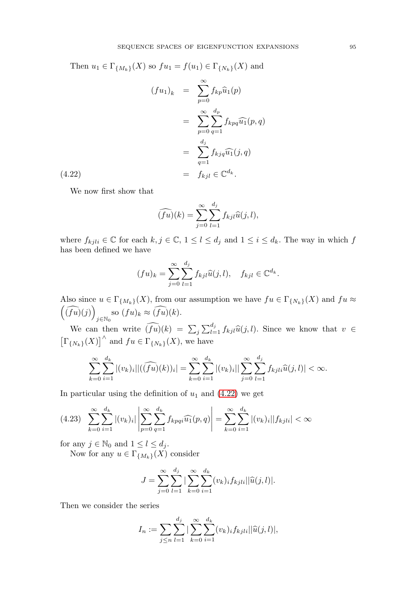<span id="page-14-0"></span>Then  $u_1 \in \Gamma_{\{M_k\}}(X)$  so  $fu_1 = f(u_1) \in \Gamma_{\{N_k\}}(X)$  and

(4.22)  
\n
$$
(fu_1)_k = \sum_{p=0}^{\infty} f_{kp} \widehat{u}_1(p)
$$
\n
$$
= \sum_{p=0}^{\infty} \sum_{q=1}^{d_p} f_{kpq} \widehat{u}_1(p,q)
$$
\n
$$
= \sum_{q=1}^{d_j} f_{kjq} \widehat{u}_1(j,q)
$$
\n
$$
= f_{kjl} \in \mathbb{C}^{d_k}.
$$

We now first show that

$$
\widehat{(fu)}(k) = \sum_{j=0}^{\infty} \sum_{l=1}^{d_j} f_{kjl} \widehat{u}(j,l),
$$

where  $f_{kjli} \in \mathbb{C}$  for each  $k, j \in \mathbb{C}$ ,  $1 \leq l \leq d_j$  and  $1 \leq i \leq d_k$ . The way in which  $f$ has been defined we have

$$
(fu)_k = \sum_{j=0}^{\infty} \sum_{l=1}^{d_j} f_{kjl} \widehat{u}(j,l), \quad f_{kjl} \in \mathbb{C}^{d_k}.
$$

Also since  $u \in \Gamma_{\{M_k\}}(X)$ , from our assumption we have  $fu \in \Gamma_{\{N_k\}}(X)$  and  $fu \approx$  $(\widehat{(fu)}(j))$  $\sum_{j\in\mathbb{N}_0}$  so  $(fu)_k \approx (fu)(k)$ .

We can then write  $\widehat{(fu)}(k) = \sum_j \sum_{l=1}^{d_j} f_{kj} \widehat{u}(j, l)$ . Since we know that  $v \in$  $\left[\Gamma_{\{N_k\}}(X)\right]^{\wedge}$  and  $fu \in \Gamma_{\{N_k\}}(X)$ , we have

$$
\sum_{k=0}^{\infty} \sum_{i=1}^{d_k} |(v_k)_i| |(\widehat{(fu)}(k))_i| = \sum_{k=0}^{\infty} \sum_{i=1}^{d_k} |(v_k)_i| |\sum_{j=0}^{\infty} \sum_{l=1}^{d_j} f_{kjli}\widehat{u}(j,l)| < \infty.
$$

In particular using the definition of  $u_1$  and  $(4.22)$  we get

<span id="page-14-1"></span>
$$
(4.23) \sum_{k=0}^{\infty} \sum_{i=1}^{d_k} |(v_k)_i| \left| \sum_{p=0}^{\infty} \sum_{q=1}^{d_k} f_{kpqi} \widehat{u_1}(p,q) \right| = \sum_{k=0}^{\infty} \sum_{i=1}^{d_k} |(v_k)_i| |f_{kjli}| < \infty
$$

for any  $j \in \mathbb{N}_0$  and  $1 \leq l \leq d_j$ .

Now for any  $u \in \Gamma_{\{M_k\}}(X)$  consider

$$
J = \sum_{j=0}^{\infty} \sum_{l=1}^{d_j} |\sum_{k=0}^{\infty} \sum_{i=1}^{d_k} (v_k)_i f_{kjli} ||\widehat{u}(j,l)|.
$$

Then we consider the series

$$
I_n := \sum_{j \le n} \sum_{l=1}^{d_j} |\sum_{k=0}^{\infty} \sum_{i=1}^{d_k} (v_k)_i f_{kjli} ||\widehat{u}(j,l)|,
$$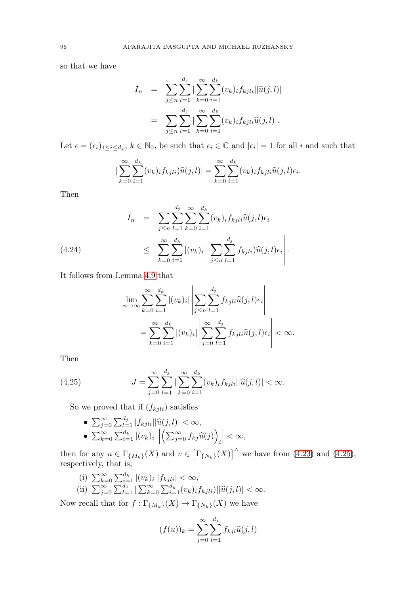so that we have

$$
I_n = \sum_{j \le n} \sum_{l=1}^{d_j} |\sum_{k=0}^{\infty} \sum_{i=1}^{d_k} (v_k)_i f_{kjli} ||\widehat{u}(j,l)|
$$
  
= 
$$
\sum_{j \le n} \sum_{l=1}^{d_j} |\sum_{k=0}^{\infty} \sum_{i=1}^{d_k} (v_k)_i f_{kjli} \widehat{u}(j,l)|.
$$

Let  $\epsilon = (\epsilon_i)_{1 \leq i \leq d_k}$ ,  $k \in \mathbb{N}_0$ , be such that  $\epsilon_i \in \mathbb{C}$  and  $|\epsilon_i| = 1$  for all i and such that

$$
\left|\sum_{k=0}^{\infty}\sum_{i=1}^{d_k}(v_k)_if_{kjli})\widehat{u}(j,l)\right|=\sum_{k=0}^{\infty}\sum_{i=1}^{d_k}(v_k)_if_{kjli}\widehat{u}(j,l)\epsilon_i.
$$

Then

$$
I_{n} = \sum_{j \leq n} \sum_{l=1}^{d_{j}} \sum_{k=0}^{\infty} \sum_{i=1}^{d_{k}} (v_{k})_{i} f_{kjli} \widehat{u}(j,l) \epsilon_{i}
$$
  
\n
$$
\leq \sum_{k=0}^{\infty} \sum_{i=1}^{d_{k}} |(v_{k})_{i}| \left| \sum_{j \leq n} \sum_{l=1}^{d_{j}} f_{kjli} \right) \widehat{u}(j,l) \epsilon_{i} \right|.
$$

It follows from Lemma [4.9](#page-11-1) that

$$
\lim_{n \to \infty} \sum_{k=0}^{\infty} \sum_{i=1}^{d_k} |(v_k)_i| \left| \sum_{j \le n} \sum_{l=1}^{d_j} f_{kjli} \widehat{u}(j,l) \epsilon_i \right|
$$
  
= 
$$
\sum_{k=0}^{\infty} \sum_{i=1}^{d_k} |(v_k)_i| \left| \sum_{j=0}^{\infty} \sum_{l=1}^{d_j} f_{kjli} \widehat{u}(j,l) \epsilon_i \right| < \infty.
$$

Then

<span id="page-15-0"></span>(4.25) 
$$
J = \sum_{j=0}^{\infty} \sum_{l=1}^{d_j} \left| \sum_{k=0}^{\infty} \sum_{i=1}^{d_k} (v_k)_i f_{kjli} ||\widehat{u}(j,l)| < \infty.
$$

So we proved that if  $(f_{kjli})$  satisfies

•  $\sum_{j=0}^{\infty} \sum_{l=1}^{d_j} |f_{kj}l_i| |\widehat{u}(j, l)| < \infty,$ •  $\sum_{k=0}^{\infty} \sum_{i=1}^{d_k} |(v_k)_i| \left| \left( \sum_{j=0}^{\infty} f_{kj} \widehat{u}(j) \right) \right|$ i  $\Big| < \infty,$ 

then for any  $u \in \Gamma_{\{M_k\}}(X)$  and  $v \in \left[\Gamma_{\{N_k\}}(X)\right]^{\wedge}$  we have from [\(4.23\)](#page-14-1) and [\(4.25\)](#page-15-0), respectively, that is,

(i)  $\sum_{k=0}^{\infty} \sum_{i=1}^{d_k} |(v_k)_i||f_{kjli}| < \infty$ , (ii)  $\sum_{j=0}^{\infty} \sum_{l=1}^{d_j} |\sum_{k=0}^{\infty} \sum_{i=1}^{d_k} (v_k)_i f_{kjli}| |\hat{u}(j, l)| < \infty.$ 

Now recall that for  $f: \Gamma_{\{M_k\}}(X) \to \Gamma_{\{N_k\}}(X)$  we have

$$
(f(u))_k = \sum_{j=0}^{\infty} \sum_{l=1}^{d_j} f_{kjl} \widehat{u}(j,l)
$$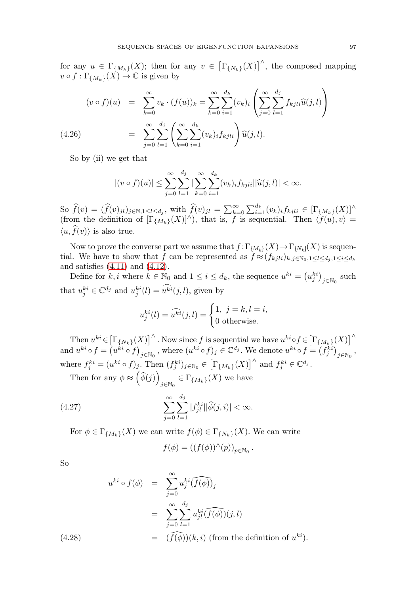for any  $u \in \Gamma_{\{M_k\}}(X)$ ; then for any  $v \in \left[\Gamma_{\{N_k\}}(X)\right]^{\wedge}$ , the composed mapping  $v \circ f : \Gamma_{\{M_k\}}(\tilde{X}) \to \mathbb{C}$  is given by

$$
(v \circ f)(u) = \sum_{k=0}^{\infty} v_k \cdot (f(u))_k = \sum_{k=0}^{\infty} \sum_{i=1}^{d_k} (v_k)_i \left( \sum_{j=0}^{\infty} \sum_{l=1}^{d_j} f_{kjli} \widehat{u}(j,l) \right)
$$
  

$$
= \sum_{j=0}^{\infty} \sum_{l=1}^{d_j} \left( \sum_{k=0}^{\infty} \sum_{i=1}^{d_k} (v_k)_i f_{kjli} \right) \widehat{u}(j,l).
$$

So by (ii) we get that

$$
|(v \circ f)(u)| \leq \sum_{j=0}^{\infty} \sum_{l=1}^{d_j} |\sum_{k=0}^{\infty} \sum_{i=1}^{d_k} (v_k)_i f_{kjli} ||\widehat{u}(j,l)| < \infty.
$$

 $\text{So } \widehat{f}(v) = (\widehat{f}(v)_{jl})_{j \in \mathbb{N}, 1 \leq l \leq d_j}$ , with  $\widehat{f}(v)_{jl} = \sum_{k=0}^{\infty} \sum_{i=1}^{d_k} (v_k)_i f_{kjli} \in [\Gamma_{\{M_k\}}(X)]^{\wedge}$ (from the definition of  $[\Gamma_{\{M_k\}}(X)]^{\wedge}$ ), that is, f is sequential. Then  $\langle f(u), v \rangle =$  $\langle u, f(v) \rangle$  is also true.

Now to prove the converse part we assume that  $f: \Gamma_{\{M_k\}}(X) \to \Gamma_{\{N_k\}}(X)$  is sequential. We have to show that f can be represented as  $f \approx (f_{kjli})_{k,j \in \mathbb{N}_0,1 \leq l \leq d_j,1 \leq i \leq d_k}$ and satisfies [\(4.11\)](#page-10-3) and [\(4.12\)](#page-10-1).

Define for  $k, i$  where  $k \in \mathbb{N}_0$  and  $1 \leq i \leq d_k$ , the sequence  $u^{ki} = (u_j^{ki})_{j \in \mathbb{N}_0}$  such that  $u_j^{ki} \in \mathbb{C}^{d_j}$  and  $u_j^{ki}(l) = u^{ki}(j, l)$ , given by

$$
u_j^{ki}(l) = \widehat{u^{ki}}(j,l) = \begin{cases} 1, & j = k, l = i, \\ 0 & \text{otherwise.} \end{cases}
$$

Then  $u^{ki} \in [\Gamma_{\{N_k\}}(X)]^{\wedge}$ . Now since f is sequential we have  $u^{ki} \circ f \in [\Gamma_{\{M_k\}}(X)]^{\wedge}$ and  $u^{ki} \circ f = (u^{ki} \circ f)_{j \in \mathbb{N}_0}$ , where  $(u^{ki} \circ f)_j \in \mathbb{C}^{d_j}$ . We denote  $u^{ki} \circ f = (f^{ki}_j)_{j \in \mathbb{N}_0}$ , where  $f_j^{ki} = (u^{ki} \circ f)_j$ . Then  $(f_j^{ki})_{j \in \mathbb{N}_0} \in \left[\Gamma_{\{M_k\}}(X)\right]^{\wedge}$  and  $f_j^{ki} \in \mathbb{C}^{d_j}$ .

Then for any  $\phi \approx \left(\widehat{\phi}(j)\right)$  $_{j\in\mathbb{N}_0}\in\Gamma_{\{M_k\}}(X)$  we have

(4.27) 
$$
\sum_{j=0}^{\infty} \sum_{l=1}^{d_j} |f_{jl}^{ki}| |\hat{\phi}(j,i)| < \infty.
$$

For  $\phi \in \Gamma_{\{M_k\}}(X)$  we can write  $f(\phi) \in \Gamma_{\{N_k\}}(X)$ . We can write

$$
f(\phi) = ((f(\phi))^{\wedge}(p))_{p \in \mathbb{N}_0}.
$$

So

<span id="page-16-0"></span>
$$
u^{ki} \circ f(\phi) = \sum_{j=0}^{\infty} u_j^{ki} \widehat{(f(\phi))_j}
$$
  
= 
$$
\sum_{j=0}^{\infty} \sum_{l=1}^{d_j} u_{jl}^{ki} \widehat{(f(\phi))}(j,l)
$$
  
= 
$$
\widehat{(f(\phi))}(k,i) \text{ (from the definition of } u^{ki}).
$$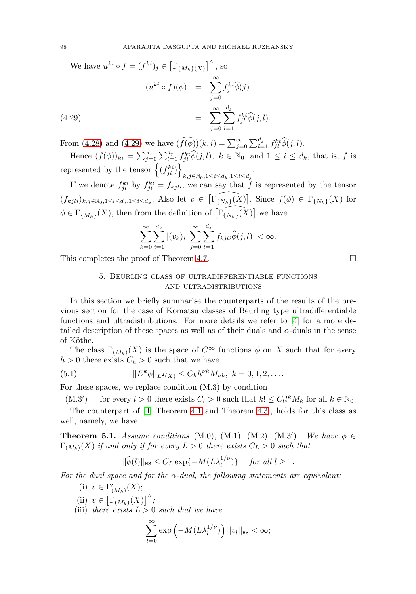<span id="page-17-1"></span>We have 
$$
u^{ki} \circ f = (f^{ki})_j \in [\Gamma_{\{M_k\}(X)}]^{\wedge}
$$
, so  
\n
$$
(u^{ki} \circ f)(\phi) = \sum_{j=0}^{\infty} f_j^{ki} \widehat{\phi}(j)
$$
\n
$$
= \sum_{j=0}^{\infty} \sum_{l=1}^{d_j} f_{jl}^{ki} \widehat{\phi}(j, l).
$$
\n(4.29)

From [\(4.28\)](#page-16-0) and [\(4.29\)](#page-17-1) we have  $(\widehat{f(\phi)})(k,i) = \sum_{j=0}^{\infty} \sum_{l=1}^{d_j} f_{jl}^{ki} \widehat{\phi}(j,l).$ 

Hence  $(f(\phi))_{ki} = \sum_{j=0}^{\infty} \sum_{l=1}^{d_j} f_{jl}^{ki} \widehat{\phi}(j,l)$ ,  $k \in \mathbb{N}_0$ , and  $1 \leq i \leq d_k$ , that is, f is represented by the tensor  $\left\{ (f_{jl}^{ki}) \right\}$  $k,j \in \mathbb{N}_0, 1 \leq i \leq d_k, 1 \leq l \leq d_j$ 

If we denote  $f_{jl}^{ki}$  by  $f_{jl}^{ki} = f_{kjli}$ , we can say that f is represented by the tensor  $(f_{kjli})_{k,j\in\mathbb{N}_0,1\leq l\leq d_j,1\leq i\leq d_k}$ . Also let  $v\in\widehat{[\Gamma_{\{N_k\}}(X)]}$ . Since  $f(\phi)\in\Gamma_{\{N_k\}}(X)$  for  $\phi \in \Gamma_{\{M_k\}}(X)$ , then from the definition of  $\widehat{\left[\Gamma_{\{N_k\}}(X)\right]}$  we have

$$
\sum_{k=0}^{\infty}\sum_{i=1}^{d_k} |(v_k)_i| \sum_{j=0}^{\infty}\sum_{l=1}^{d_j} f_{kjli}\widehat{\phi}(j,l)| < \infty.
$$

<span id="page-17-0"></span>This completes the proof of Theorem [4.7.](#page-10-0)

5. Beurling class of ultradifferentiable functions and ultradistributions

In this section we briefly summarise the counterparts of the results of the previous section for the case of Komatsu classes of Beurling type ultradifferentiable functions and ultradistributions. For more details we refer to [\[4\]](#page-18-1) for a more detailed description of these spaces as well as of their duals and  $\alpha$ -duals in the sense of Köthe.

The class  $\Gamma_{(M_k)}(X)$  is the space of  $C^{\infty}$  functions  $\phi$  on X such that for every  $h > 0$  there exists  $C_h > 0$  such that we have

(5.1) 
$$
||E^k \phi||_{L^2(X)} \leq C_h h^{\nu k} M_{\nu k}, \ k = 0, 1, 2, \dots
$$

For these spaces, we replace condition (M.3) by condition

 $(M.3')$ ) for every  $l > 0$  there exists  $C_l > 0$  such that  $k! ≤ C_l l^k M_k$  for all  $k ∈ ℕ_0$ . The counterpart of [\[4,](#page-18-1) Theorem [4.1](#page-5-1) and Theorem [4.3\]](#page-6-0), holds for this class as well, namely, we have

**Theorem 5.1.** Assume conditions (M.0), (M.1), (M.2), (M.3'). We have  $\phi \in$  $\Gamma_{(M_k)}(X)$  if and only if for every  $L > 0$  there exists  $C_L > 0$  such that

$$
||\widehat{\phi}(l)||_{\text{HS}} \le C_L \exp\{-M(L\lambda_l^{1/\nu})\} \quad \text{ for all } l \ge 1.
$$

For the dual space and for the  $\alpha$ -dual, the following statements are equivalent:

- (i)  $v \in \Gamma'_{(M_k)}(X);$
- (ii)  $v \in \left[\Gamma_{(M_k)}(X)\right]^{\wedge}$ ;
- (iii) there exists  $L > 0$  such that we have

$$
\sum_{l=0}^{\infty} \exp\left(-M(L\lambda_l^{1/\nu})\right) ||v_l||_{\text{HS}} < \infty;
$$

 $\Box$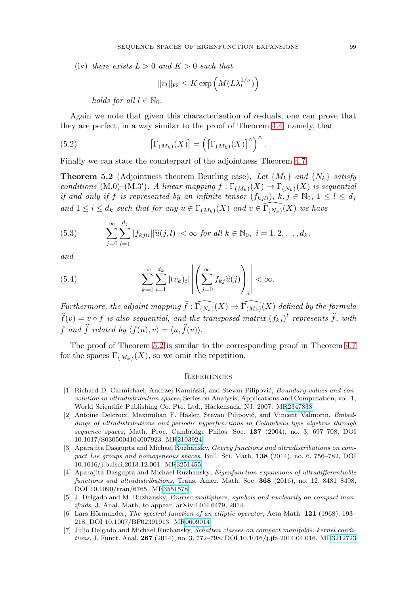(iv) there exists  $L > 0$  and  $K > 0$  such that

$$
||v_l||_{\text{HS}} \leq K \exp\left(M(L\lambda_l^{1/\nu})\right)
$$

holds for all  $l \in \mathbb{N}_0$ .

Again we note that given this characterisation of  $\alpha$ -duals, one can prove that they are perfect, in a way similar to the proof of Theorem [4.4,](#page-6-1) namely, that

.

(5.2) 
$$
\left[\Gamma_{(M_k)}(X)\right] = \left(\left[\Gamma_{(M_k)}(X)\right]^\wedge\right)^\wedge
$$

Finally we can state the counterpart of the adjointness Theorem [4.7.](#page-10-0)

<span id="page-18-8"></span>**Theorem 5.2** (Adjointness theorem Beurling case). Let  $\{M_k\}$  and  $\{N_k\}$  satisfy conditions (M.0)–(M.3'). A linear mapping  $f : \Gamma_{(M_k)}(X) \to \Gamma_{(N_k)}(X)$  is sequential if and only if f is represented by an infinite tensor  $(f_{kjli}), k, j \in \mathbb{N}_0, 1 \leq l \leq d_j$ and  $1 \leq i \leq d_k$  such that for any  $u \in \Gamma_{(M_k)}(X)$  and  $v \in \widehat{\Gamma_{(N_k)}}(X)$  we have

(5.3) 
$$
\sum_{j=0}^{\infty} \sum_{l=1}^{d_j} |f_{kjli}| |\widehat{u}(j,l)| < \infty \text{ for all } k \in \mathbb{N}_0, \ i = 1, 2, \dots, d_k,
$$

and

(5.4) 
$$
\sum_{k=0}^{\infty} \sum_{i=1}^{d_k} |(v_k)_i| \left| \left( \sum_{j=0}^{\infty} f_{kj} \widehat{u}(j) \right)_i \right| < \infty.
$$

Furthermore, the adjoint mapping  $\widehat{f}: \widehat{\Gamma_{(N_k)}}(X) \to \widehat{\Gamma_{(M_k)}}(X)$  defined by the formula  $\widehat{f}(v) = v \circ f$  is also sequential, and the transposed matrix  $(f_{kj})^t$  represents  $\widehat{f}$ , with f and f related by  $\langle f(u), v \rangle = \langle u, f(v) \rangle$ .

The proof of Theorem [5.2](#page-18-8) is similar to the corresponding proof in Theorem [4.7](#page-10-0) for the spaces  $\Gamma_{\{M_k\}}(X)$ , so we omit the repetition.

#### <span id="page-18-0"></span>**REFERENCES**

- <span id="page-18-5"></span>[1] Richard D. Carmichael, Andrzej Kamiński, and Stevan Pilipović, Boundary values and convolution in ultradistribution spaces, Series on Analysis, Applications and Computation, vol. 1, World Scientific Publishing Co. Pte. Ltd., Hackensack, NJ, 2007. M[R2347838](http://www.ams.org/mathscinet-getitem?mr=2347838)
- <span id="page-18-6"></span>[2] Antoine Delcroix, Maximilian F. Hasler, Stevan Pilipović, and Vincent Valmorin, Embeddings of ultradistributions and periodic hyperfunctions in Colombeau type algebras through sequence spaces, Math. Proc. Cambridge Philos. Soc. **137** (2004), no. 3, 697–708, DOI 10.1017/S0305004104007923. M[R2103924](http://www.ams.org/mathscinet-getitem?mr=2103924)
- <span id="page-18-2"></span>[3] Aparajita Dasgupta and Michael Ruzhansky, Gevrey functions and ultradistributions on compact Lie groups and homogeneous spaces, Bull. Sci. Math. **138** (2014), no. 6, 756–782, DOI 10.1016/j.bulsci.2013.12.001. M[R3251455](http://www.ams.org/mathscinet-getitem?mr=3251455)
- <span id="page-18-1"></span>[4] Aparajita Dasgupta and Michael Ruzhansky, Eigenfunction expansions of ultradifferentiable functions and ultradistributions, Trans. Amer. Math. Soc. **368** (2016), no. 12, 8481–8498, DOI 10.1090/tran/6765. M[R3551578](http://www.ams.org/mathscinet-getitem?mr=3551578)
- <span id="page-18-3"></span>[5] J. Delgado and M. Ruzhansky, Fourier multipliers, symbols and nuclearity on compact manifolds, J. Anal. Math, to appear, arXiv:1404.6479, 2014.
- <span id="page-18-7"></span>[6] Lars Hörmander, The spectral function of an elliptic operator, Acta Math. **121** (1968), 193– 218, DOI 10.1007/BF02391913. M[R0609014](http://www.ams.org/mathscinet-getitem?mr=0609014)
- <span id="page-18-4"></span>[7] Julio Delgado and Michael Ruzhansky, Schatten classes on compact manifolds: kernel conditions, J. Funct. Anal. **267** (2014), no. 3, 772–798, DOI 10.1016/j.jfa.2014.04.016. M[R3212723](http://www.ams.org/mathscinet-getitem?mr=3212723)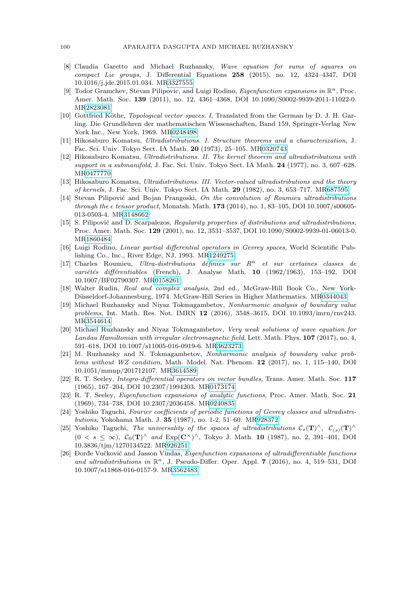- <span id="page-19-7"></span>[8] Claudia Garetto and Michael Ruzhansky, Wave equation for sums of squares on compact Lie groups, J. Differential Equations **258** (2015), no. 12, 4324–4347, DOI 10.1016/j.jde.2015.01.034. M[R3327555](http://www.ams.org/mathscinet-getitem?mr=3327555)
- <span id="page-19-8"></span>[9] Todor Gramchev, Stevan Pilipovic, and Luigi Rodino, *Eigenfunction expansions in*  $\mathbb{R}^n$ , Proc. Amer. Math. Soc. **139** (2011), no. 12, 4361–4368, DOI 10.1090/S0002-9939-2011-11022-0. M[R2823081](http://www.ams.org/mathscinet-getitem?mr=2823081)
- <span id="page-19-3"></span>[10] Gottfried Köthe, *Topological vector spaces. I*, Translated from the German by D. J. H. Garling. Die Grundlehren der mathematischen Wissenschaften, Band 159, Springer-Verlag New York Inc., New York, 1969. M[R0248498](http://www.ams.org/mathscinet-getitem?mr=0248498)
- <span id="page-19-10"></span>[11] Hikosaburo Komatsu, Ultradistributions. I. Structure theorems and a characterization, J. Fac. Sci. Univ. Tokyo Sect. IA Math. **20** (1973), 25–105. M[R0320743](http://www.ams.org/mathscinet-getitem?mr=0320743)
- [12] Hikosaburo Komatsu, Ultradistributions. II. The kernel theorem and ultradistributions with support in a submanifold, J. Fac. Sci. Univ. Tokyo Sect. IA Math. **24** (1977), no. 3, 607–628. M[R0477770](http://www.ams.org/mathscinet-getitem?mr=0477770)
- <span id="page-19-11"></span>[13] Hikosaburo Komatsu, Ultradistributions. III. Vector-valued ultradistributions and the theory of kernels, J. Fac. Sci. Univ. Tokyo Sect. IA Math. **29** (1982), no. 3, 653–717. M[R687595](http://www.ams.org/mathscinet-getitem?mr=687595)
- <span id="page-19-16"></span>[14] Stevan Pilipović and Bojan Prangoski, On the convolution of Roumieu ultradistributions through the  $\epsilon$  tensor product, Monatsh. Math. **173** (2014), no. 1, 83–105, DOI 10.1007/s00605-013-0503-4. M[R3148662](http://www.ams.org/mathscinet-getitem?mr=3148662)
- <span id="page-19-15"></span>[15] S. Pilipović and D. Scarpalezos, Regularity properties of distributions and ultradistributions, Proc. Amer. Math. Soc. **129** (2001), no. 12, 3531–3537, DOI 10.1090/S0002-9939-01-06013-0. M[R1860484](http://www.ams.org/mathscinet-getitem?mr=1860484)
- <span id="page-19-17"></span>[16] Luigi Rodino, Linear partial differential operators in Gevrey spaces, World Scientific Publishing Co., Inc., River Edge, NJ, 1993. M[R1249275](http://www.ams.org/mathscinet-getitem?mr=1249275)
- <span id="page-19-13"></span>[17] Charles Roumieu, Ultra-distributions définies sur  $R<sup>n</sup>$  et sur certaines classes de variétés différentiables (French), J. Analyse Math. **10** (1962/1963), 153-192, DOI 10.1007/BF02790307. M[R0158261](http://www.ams.org/mathscinet-getitem?mr=0158261)
- <span id="page-19-12"></span>[18] Walter Rudin, Real and complex analysis, 2nd ed., McGraw-Hill Book Co., New York-Düsseldorf-Johannesburg, 1974. McGraw-Hill Series in Higher Mathematics. M[R0344043](http://www.ams.org/mathscinet-getitem?mr=0344043)
- <span id="page-19-5"></span>[19] Michael Ruzhansky and Niyaz Tokmagambetov, Nonharmonic analysis of boundary value problems, Int. Math. Res. Not. IMRN **12** (2016), 3548–3615, DOI 10.1093/imrn/rnv243. M[R3544614](http://www.ams.org/mathscinet-getitem?mr=3544614)
- <span id="page-19-4"></span>[20] Michael Ruzhansky and Niyaz Tokmagambetov, Very weak solutions of wave equation for Landau Hamiltonian with irregular electromagnetic field, Lett. Math. Phys. **107** (2017), no. 4, 591–618, DOI 10.1007/s11005-016-0919-6. M[R3623273](http://www.ams.org/mathscinet-getitem?mr=3623273)
- <span id="page-19-6"></span>[21] M. Ruzhansky and N. Tokmagambetov, Nonharmonic analysis of boundary value problems without WZ condition, Math. Model. Nat. Phenom. **12** (2017), no. 1, 115–140, DOI 10.1051/mmnp/201712107. M[R3614589](http://www.ams.org/mathscinet-getitem?mr=3614589)
- <span id="page-19-1"></span>[22] R. T. Seeley, Integro-differential operators on vector bundles, Trans. Amer. Math. Soc. **117** (1965), 167–204, DOI 10.2307/1994203. M[R0173174](http://www.ams.org/mathscinet-getitem?mr=0173174)
- <span id="page-19-0"></span>[23] R. T. Seeley, Eigenfunction expansions of analytic functions, Proc. Amer. Math. Soc. **21** (1969), 734–738, DOI 10.2307/2036458. M[R0240835](http://www.ams.org/mathscinet-getitem?mr=0240835)
- <span id="page-19-2"></span>[24] Yoshiko Taguchi, Fourier coefficients of periodic functions of Gevrey classes and ultradistributions, Yokohama Math. J. **35** (1987), no. 1-2, 51–60. M[R928372](http://www.ams.org/mathscinet-getitem?mr=928372)
- <span id="page-19-14"></span>[25] Yoshiko Taguchi, The universality of the spaces of ultradistributions  $C_s(\mathbf{T})^{\wedge}$ ,  $C_{(s)}(\mathbf{T})^{\wedge}$ (0 < s ≤ ∞), C0(**T**)<sup>∧</sup> and Exp(**C**×)∧, Tokyo J. Math. **10** (1987), no. 2, 391–401, DOI 10.3836/tjm/1270134522. M[R926251](http://www.ams.org/mathscinet-getitem?mr=926251)
- <span id="page-19-9"></span>[26] Dorde Vučković and Jasson Vindas, *Eigenfunction expansions of ultradifferentiable functions* and ultradistributions in  $\mathbb{R}^n$ , J. Pseudo-Differ. Oper. Appl. **7** (2016), no. 4, 519–531, DOI 10.1007/s11868-016-0157-9. M[R3562483](http://www.ams.org/mathscinet-getitem?mr=3562483)